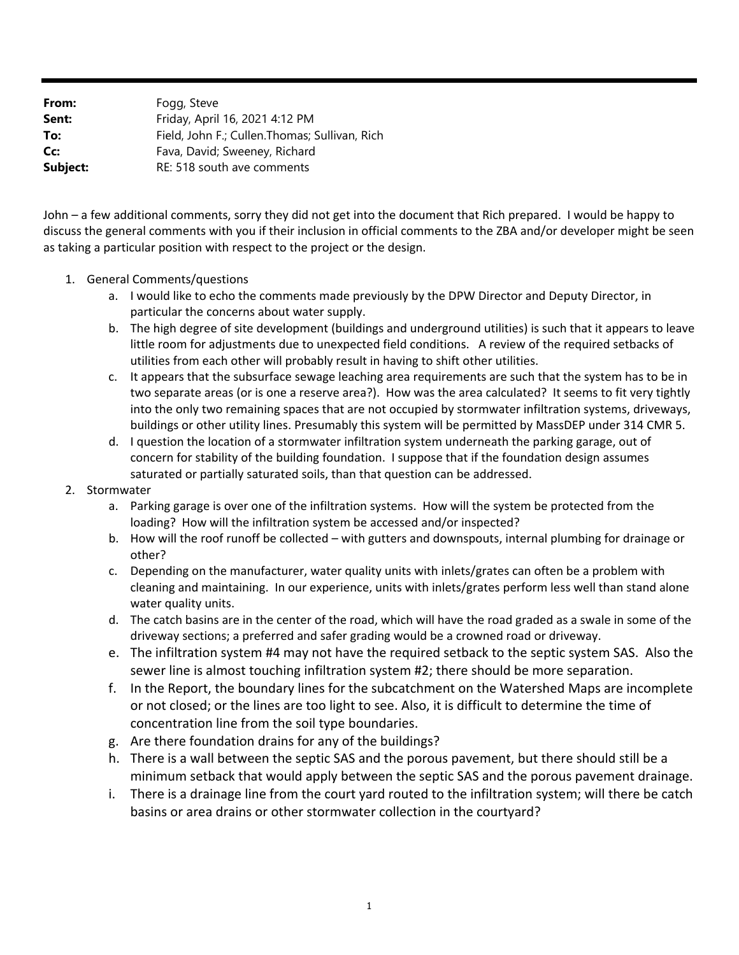**From:** Fogg, Steve **Sent:** Friday, April 16, 2021 4:12 PM **To:** Field, John F.; Cullen.Thomas; Sullivan, Rich **Cc:** Fava, David; Sweeney, Richard **Subject:** RE: 518 south ave comments

John – a few additional comments, sorry they did not get into the document that Rich prepared. I would be happy to discuss the general comments with you if their inclusion in official comments to the ZBA and/or developer might be seen as taking a particular position with respect to the project or the design.

- 1. General Comments/questions
	- a. I would like to echo the comments made previously by the DPW Director and Deputy Director, in particular the concerns about water supply.
	- b. The high degree of site development (buildings and underground utilities) is such that it appears to leave little room for adjustments due to unexpected field conditions. A review of the required setbacks of utilities from each other will probably result in having to shift other utilities.
	- c. It appears that the subsurface sewage leaching area requirements are such that the system has to be in two separate areas (or is one a reserve area?). How was the area calculated? It seems to fit very tightly into the only two remaining spaces that are not occupied by stormwater infiltration systems, driveways, buildings or other utility lines. Presumably this system will be permitted by MassDEP under 314 CMR 5.
	- d. I question the location of a stormwater infiltration system underneath the parking garage, out of concern for stability of the building foundation. I suppose that if the foundation design assumes saturated or partially saturated soils, than that question can be addressed.

## 2. Stormwater

- a. Parking garage is over one of the infiltration systems. How will the system be protected from the loading? How will the infiltration system be accessed and/or inspected?
- b. How will the roof runoff be collected with gutters and downspouts, internal plumbing for drainage or other?
- c. Depending on the manufacturer, water quality units with inlets/grates can often be a problem with cleaning and maintaining. In our experience, units with inlets/grates perform less well than stand alone water quality units.
- d. The catch basins are in the center of the road, which will have the road graded as a swale in some of the driveway sections; a preferred and safer grading would be a crowned road or driveway.
- e. The infiltration system #4 may not have the required setback to the septic system SAS. Also the sewer line is almost touching infiltration system #2; there should be more separation.
- f. In the Report, the boundary lines for the subcatchment on the Watershed Maps are incomplete or not closed; or the lines are too light to see. Also, it is difficult to determine the time of concentration line from the soil type boundaries.
- g. Are there foundation drains for any of the buildings?
- h. There is a wall between the septic SAS and the porous pavement, but there should still be a minimum setback that would apply between the septic SAS and the porous pavement drainage.
- i. There is a drainage line from the court yard routed to the infiltration system; will there be catch basins or area drains or other stormwater collection in the courtyard?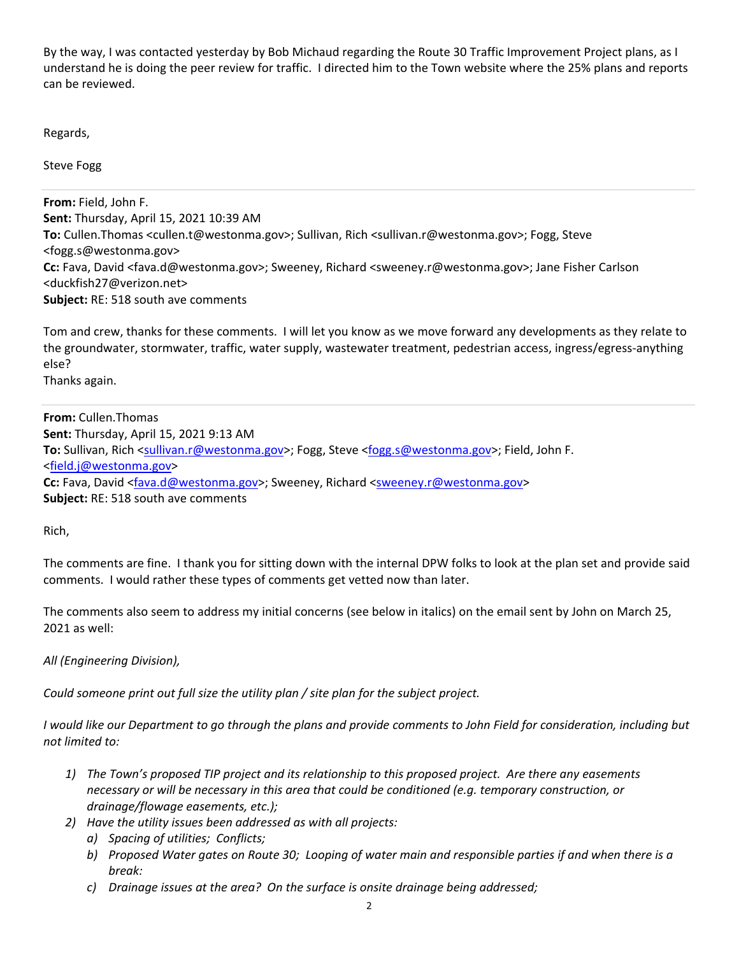By the way, I was contacted yesterday by Bob Michaud regarding the Route 30 Traffic Improvement Project plans, as I understand he is doing the peer review for traffic. I directed him to the Town website where the 25% plans and reports can be reviewed.

Regards,

Steve Fogg

**From:** Field, John F. **Sent:** Thursday, April 15, 2021 10:39 AM **To:** Cullen.Thomas <cullen.t@westonma.gov>; Sullivan, Rich <sullivan.r@westonma.gov>; Fogg, Steve <fogg.s@westonma.gov> **Cc:** Fava, David <fava.d@westonma.gov>; Sweeney, Richard <sweeney.r@westonma.gov>; Jane Fisher Carlson <duckfish27@verizon.net> **Subject:** RE: 518 south ave comments

Tom and crew, thanks for these comments. I will let you know as we move forward any developments as they relate to the groundwater, stormwater, traffic, water supply, wastewater treatment, pedestrian access, ingress/egress‐anything else?

Thanks again.

**From:** Cullen.Thomas **Sent:** Thursday, April 15, 2021 9:13 AM To: Sullivan, Rich <sullivan.r@westonma.gov>; Fogg, Steve <fogg.s@westonma.gov>; Field, John F. <field.j@westonma.gov> **Cc:** Fava, David <fava.d@westonma.gov>; Sweeney, Richard <sweeney.r@westonma.gov> **Subject:** RE: 518 south ave comments

Rich,

The comments are fine. I thank you for sitting down with the internal DPW folks to look at the plan set and provide said comments. I would rather these types of comments get vetted now than later.

The comments also seem to address my initial concerns (see below in italics) on the email sent by John on March 25, 2021 as well:

*All (Engineering Division),* 

*Could someone print out full size the utility plan / site plan for the subject project.* 

*I would like our Department to go through the plans and provide comments to John Field for consideration, including but not limited to:* 

- *1) The Town's proposed TIP project and its relationship to this proposed project. Are there any easements necessary or will be necessary in this area that could be conditioned (e.g. temporary construction, or drainage/flowage easements, etc.);*
- *2) Have the utility issues been addressed as with all projects:* 
	- *a) Spacing of utilities; Conflicts;*
	- *b) Proposed Water gates on Route 30; Looping of water main and responsible parties if and when there is a break:*
	- *c) Drainage issues at the area? On the surface is onsite drainage being addressed;*